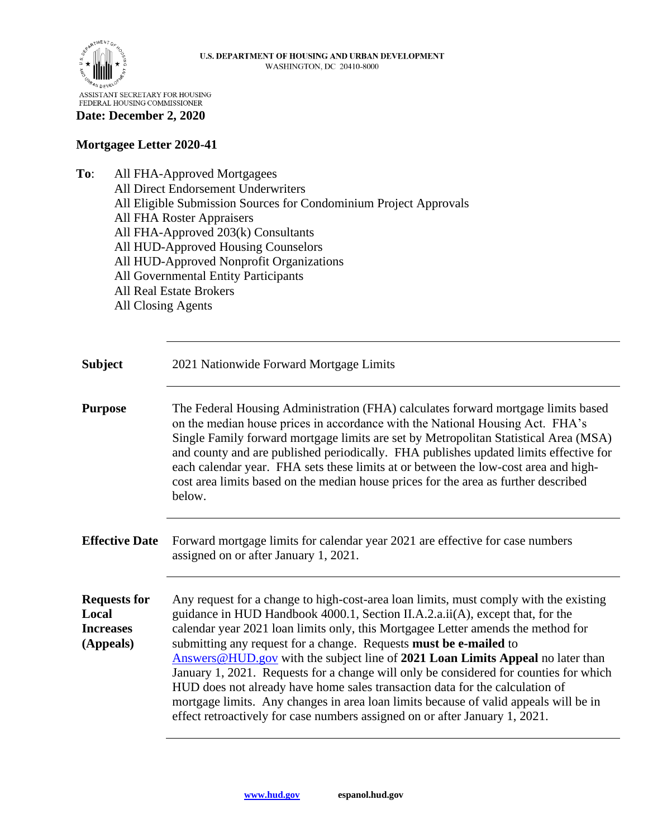

## **Date: December 2, 2020**

## **Mortgagee Letter 2020-41**

**To**: All FHA-Approved Mortgagees

| All Direct Endorsement Underwriters                               |
|-------------------------------------------------------------------|
| All Eligible Submission Sources for Condominium Project Approvals |
| <b>All FHA Roster Appraisers</b>                                  |
| All FHA-Approved 203(k) Consultants                               |
| All HUD-Approved Housing Counselors                               |
| All HUD-Approved Nonprofit Organizations                          |
| All Governmental Entity Participants                              |
| <b>All Real Estate Brokers</b>                                    |
| <b>All Closing Agents</b>                                         |
|                                                                   |

**Subject** 2021 Nationwide Forward Mortgage Limits **Purpose** The Federal Housing Administration (FHA) calculates forward mortgage limits based on the median house prices in accordance with the National Housing Act. FHA's Single Family forward mortgage limits are set by Metropolitan Statistical Area (MSA) and county and are published periodically. FHA publishes updated limits effective for each calendar year. FHA sets these limits at or between the low-cost area and highcost area limits based on the median house prices for the area as further described below. **Effective Date** Forward mortgage limits for calendar year 2021 are effective for case numbers assigned on or after January 1, 2021. **Requests for Local Increases (Appeals)** Any request for a change to high-cost-area loan limits, must comply with the existing guidance in HUD Handbook 4000.1, Section II.A.2.a.ii(A), except that, for the calendar year 2021 loan limits only, this Mortgagee Letter amends the method for submitting any request for a change. Requests **must be e-mailed** to [Answers@HUD.gov](mailto:Answers@HUD.gov) with the subject line of **2021 Loan Limits Appeal** no later than January 1, 2021. Requests for a change will only be considered for counties for which HUD does not already have home sales transaction data for the calculation of mortgage limits. Any changes in area loan limits because of valid appeals will be in effect retroactively for case numbers assigned on or after January 1, 2021.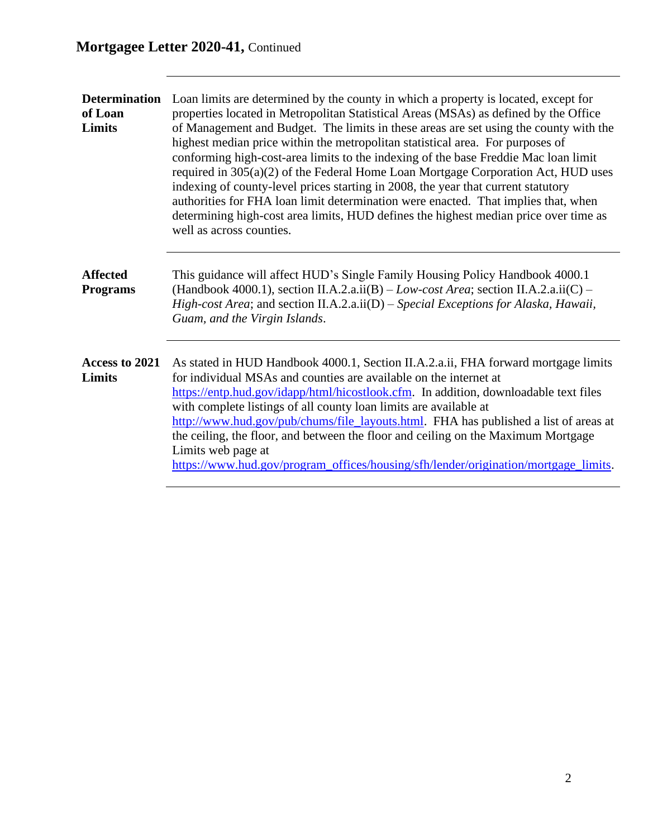| <b>Determination</b><br>of Loan<br>Limits | Loan limits are determined by the county in which a property is located, except for<br>properties located in Metropolitan Statistical Areas (MSAs) as defined by the Office<br>of Management and Budget. The limits in these areas are set using the county with the<br>highest median price within the metropolitan statistical area. For purposes of<br>conforming high-cost-area limits to the indexing of the base Freddie Mac loan limit<br>required in 305(a)(2) of the Federal Home Loan Mortgage Corporation Act, HUD uses<br>indexing of county-level prices starting in 2008, the year that current statutory<br>authorities for FHA loan limit determination were enacted. That implies that, when<br>determining high-cost area limits, HUD defines the highest median price over time as<br>well as across counties. |
|-------------------------------------------|-----------------------------------------------------------------------------------------------------------------------------------------------------------------------------------------------------------------------------------------------------------------------------------------------------------------------------------------------------------------------------------------------------------------------------------------------------------------------------------------------------------------------------------------------------------------------------------------------------------------------------------------------------------------------------------------------------------------------------------------------------------------------------------------------------------------------------------|
| <b>Affected</b><br><b>Programs</b>        | This guidance will affect HUD's Single Family Housing Policy Handbook 4000.1<br>(Handbook 4000.1), section II.A.2.a.ii(B) – Low-cost Area; section II.A.2.a.ii(C) –<br>High-cost Area; and section II.A.2.a.ii(D) – Special Exceptions for Alaska, Hawaii,<br>Guam, and the Virgin Islands.                                                                                                                                                                                                                                                                                                                                                                                                                                                                                                                                       |
| Access to 2021<br>Limits                  | As stated in HUD Handbook 4000.1, Section II.A.2.a.ii, FHA forward mortgage limits<br>for individual MSAs and counties are available on the internet at<br>https://entp.hud.gov/idapp/html/hicostlook.cfm. In addition, downloadable text files<br>with complete listings of all county loan limits are available at<br>http://www.hud.gov/pub/chums/file_layouts.html. FHA has published a list of areas at<br>the ceiling, the floor, and between the floor and ceiling on the Maximum Mortgage<br>Limits web page at<br>https://www.hud.gov/program_offices/housing/sfh/lender/origination/mortgage_limits.                                                                                                                                                                                                                    |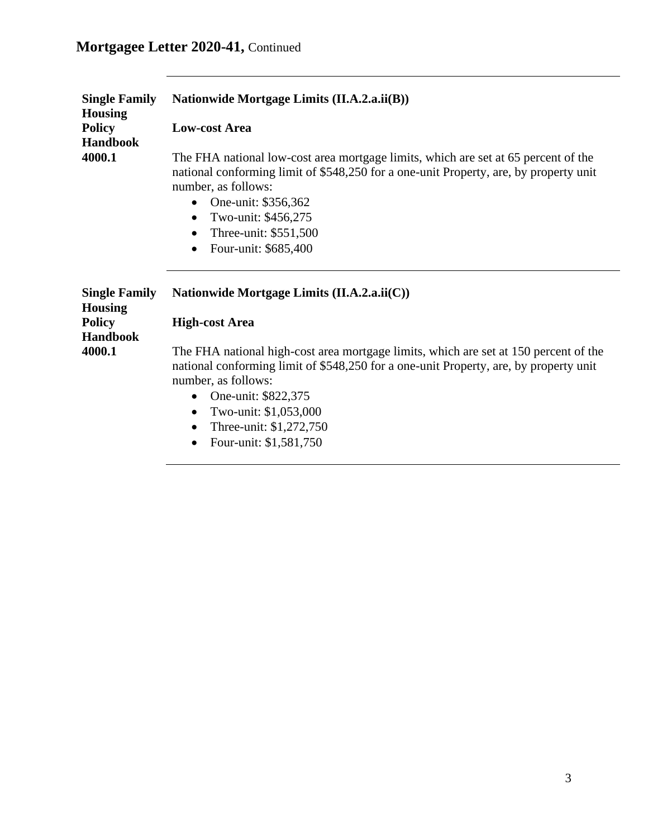## **Mortgagee Letter 2020-41,** Continued

| <b>Single Family</b><br><b>Housing</b> | Nationwide Mortgage Limits (II.A.2.a.ii(B))                                                                                                                                                                                                                                                                                                           |
|----------------------------------------|-------------------------------------------------------------------------------------------------------------------------------------------------------------------------------------------------------------------------------------------------------------------------------------------------------------------------------------------------------|
| <b>Policy</b><br><b>Handbook</b>       | <b>Low-cost Area</b>                                                                                                                                                                                                                                                                                                                                  |
| 4000.1                                 | The FHA national low-cost area mortgage limits, which are set at 65 percent of the<br>national conforming limit of \$548,250 for a one-unit Property, are, by property unit<br>number, as follows:<br>One-unit: \$356,362<br>$\bullet$<br>Two-unit: \$456,275<br>$\bullet$<br>Three-unit: \$551,500<br>$\bullet$<br>Four-unit: \$685,400<br>$\bullet$ |
| <b>Single Family</b><br><b>Housing</b> | Nationwide Mortgage Limits (II.A.2.a.ii(C))                                                                                                                                                                                                                                                                                                           |
| <b>Policy</b><br><b>Handbook</b>       | <b>High-cost Area</b>                                                                                                                                                                                                                                                                                                                                 |
| 4000.1                                 | The FHA national high-cost area mortgage limits, which are set at 150 percent of the<br>national conforming limit of \$548,250 for a one-unit Property, are, by property unit<br>number, as follows:<br>One-unit: \$822,375<br>Two-unit: \$1,053,000<br>$\bullet$<br>Three-unit: \$1,272,750<br>Four-unit: \$1,581,750                                |